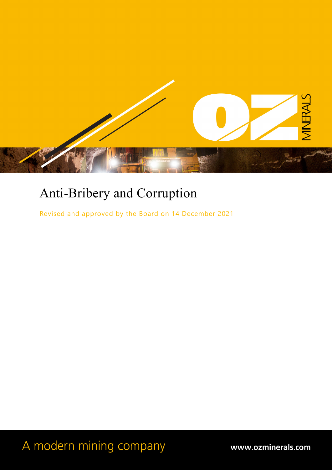

# Anti-Bribery and Corruption

Revised and approved by the Board on 14 December 2021

A modern mining company

www.ozminerals.com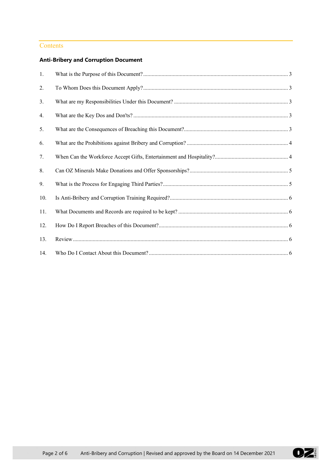## **Contents**

# **Anti-Bribery and Corruption Document**

| 1.  |  |
|-----|--|
| 2.  |  |
| 3.  |  |
| 4.  |  |
| 5.  |  |
| 6.  |  |
| 7.  |  |
| 8.  |  |
| 9.  |  |
| 10. |  |
| 11. |  |
| 12. |  |
| 13. |  |
| 14. |  |

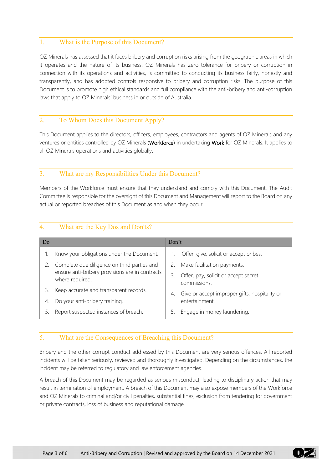# <span id="page-2-0"></span>1. What is the Purpose of this Document?

OZ Minerals has assessed that it faces bribery and corruption risks arising from the geographic areas in which it operates and the nature of its business. OZ Minerals has zero tolerance for bribery or corruption in connection with its operations and activities, is committed to conducting its business fairly, honestly and transparently, and has adopted controls responsive to bribery and corruption risks. The purpose of this Document is to promote high ethical standards and full compliance with the anti-bribery and anti-corruption laws that apply to OZ Minerals' business in or outside of Australia.

## <span id="page-2-1"></span>2. To Whom Does this Document Apply?

This Document applies to the directors, officers, employees, contractors and agents of OZ Minerals and any ventures or entities controlled by OZ Minerals (Workforce) in undertaking Work for OZ Minerals. It applies to all OZ Minerals operations and activities globally.

### <span id="page-2-2"></span>3. What are my Responsibilities Under this Document?

Members of the Workforce must ensure that they understand and comply with this Document. The Audit Committee is responsible for the oversight of this Document and Management will report to the Board on any actual or reported breaches of this Document as and when they occur.

| Do |                                                                    | Don't |                                                      |
|----|--------------------------------------------------------------------|-------|------------------------------------------------------|
|    | Know your obligations under the Document.                          |       | Offer, give, solicit or accept bribes.               |
|    | Complete due diligence on third parties and                        | 2.    | Make facilitation payments.                          |
|    | ensure anti-bribery provisions are in contracts<br>where required. | 3.    | Offer, pay, solicit or accept secret<br>commissions. |
| 3. | Keep accurate and transparent records.                             | 4.    | Give or accept improper gifts, hospitality or        |
| 4. | Do your anti-bribery training.                                     |       | entertainment.                                       |
|    | Report suspected instances of breach.                              | 5.    | Engage in money laundering.                          |

## <span id="page-2-3"></span>4. What are the Key Dos and Don'ts?

## <span id="page-2-4"></span>5. What are the Consequences of Breaching this Document?

Bribery and the other corrupt conduct addressed by this Document are very serious offences. All reported incidents will be taken seriously, reviewed and thoroughly investigated. Depending on the circumstances, the incident may be referred to regulatory and law enforcement agencies.

A breach of this Document may be regarded as serious misconduct, leading to disciplinary action that may result in termination of employment. A breach of this Document may also expose members of the Workforce and OZ Minerals to criminal and/or civil penalties, substantial fines, exclusion from tendering for government or private contracts, loss of business and reputational damage.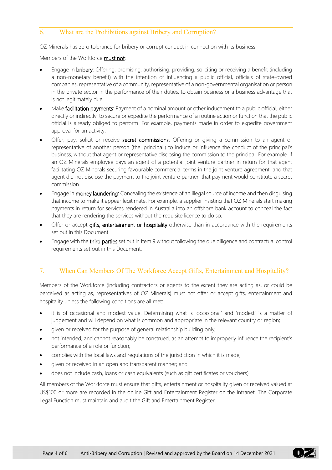## <span id="page-3-0"></span>6. What are the Prohibitions against Bribery and Corruption?

OZ Minerals has zero tolerance for bribery or corrupt conduct in connection with its business.

Members of the Workforce **must not**:

- Engage in **bribery**: Offering, promising, authorising, providing, soliciting or receiving a benefit (including a non-monetary benefit) with the intention of influencing a public official, officials of state-owned companies, representative of a community, representative of a non-governmental organisation or person in the private sector in the performance of their duties, to obtain business or a business advantage that is not legitimately due.
- Make facilitation payments: Payment of a nominal amount or other inducement to a public official, either directly or indirectly, to secure or expedite the performance of a routine action or function that the public official is already obliged to perform. For example, payments made in order to expedite government approval for an activity.
- Offer, pay, solicit or receive secret commissions: Offering or giving a commission to an agent or representative of another person (the 'principal') to induce or influence the conduct of the principal's business, without that agent or representative disclosing the commission to the principal. For example, if an OZ Minerals employee pays an agent of a potential joint venture partner in return for that agent facilitating OZ Minerals securing favourable commercial terms in the joint venture agreement, and that agent did not disclose the payment to the joint venture partner, that payment would constitute a secret commission.
- Engage in **money laundering**: Concealing the existence of an illegal source of income and then disguising that income to make it appear legitimate. For example, a supplier insisting that OZ Minerals start making payments in return for services rendered in Australia into an offshore bank account to conceal the fact that they are rendering the services without the requisite licence to do so.
- Offer or accept gifts, entertainment or hospitality otherwise than in accordance with the requirements set out in this Document.
- Engage with the third parties set out in Ite[m 9](#page-4-1) without following the due diligence and contractual control requirements set out in this Document.

# <span id="page-3-1"></span>7. When Can Members Of The Workforce Accept Gifts, Entertainment and Hospitality?

Members of the Workforce (including contractors or agents to the extent they are acting as, or could be perceived as acting as, representatives of OZ Minerals) must not offer or accept gifts, entertainment and hospitality unless the following conditions are all met:

- it is of occasional and modest value. Determining what is 'occasional' and 'modest' is a matter of judgement and will depend on what is common and appropriate in the relevant country or region;
- given or received for the purpose of general relationship building only;
- not intended, and cannot reasonably be construed, as an attempt to improperly influence the recipient's performance of a role or function;
- complies with the local laws and regulations of the jurisdiction in which it is made;
- given or received in an open and transparent manner; and
- does not include cash, loans or cash equivalents (such as gift certificates or vouchers).

All members of the Workforce must ensure that gifts, entertainment or hospitality given or received valued at US\$100 or more are recorded in the online Gift and Entertainment Register on the Intranet. The Corporate Legal Function must maintain and audit the Gift and Entertainment Register.

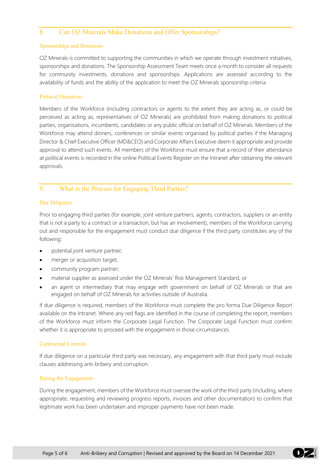#### <span id="page-4-0"></span>8. Can OZ Minerals Make Donations and Offer Sponsorships?

#### Sponsorships and Donations

OZ Minerals is committed to supporting the communities in which we operate through investment initiatives, sponsorships and donations. The Sponsorship Assessment Team meets once a month to consider all requests for community investments, donations and sponsorships. Applications are assessed according to the availability of funds and the ability of the application to meet the OZ Minerals sponsorship criteria.

#### Political Donations

Members of the Workforce (including contractors or agents to the extent they are acting as, or could be perceived as acting as, representatives of OZ Minerals) are prohibited from making donations to political parties, organisations, incumbents, candidates or any public official on behalf of OZ Minerals. Members of the Workforce may attend dinners, conferences or similar events organised by political parties if the Managing Director & Chief Executive Officer (MD&CEO) and Corporate Affairs Executive deem it appropriate and provide approval to attend such events. All members of the Workforce must ensure that a record of their attendance at political events is recorded in the online Political Events Register on the Intranet after obtaining the relevant approvals.

## <span id="page-4-1"></span>9. What is the Process for Engaging Third Parties?

#### Due Diligence

Prior to engaging third parties (for example, joint venture partners, agents, contractors, suppliers or an entity that is not a party to a contract or a transaction, but has an involvement), members of the Workforce carrying out and responsible for the engagement must conduct due diligence if the third party constitutes any of the following:

- potential joint venture partner;
- merger or acquisition target;
- community program partner;
- material supplier as assessed under the OZ Minerals' Risk Management Standard, or
- an agent or intermediary that may engage with government on behalf of OZ Minerals or that are engaged on behalf of OZ Minerals for activities outside of Australia.

If due diligence is required, members of the Workforce must complete the pro forma Due Diligence Report available on the Intranet. Where any red flags are identified in the course of completing the report, members of the Workforce must inform the Corporate Legal Function. The Corporate Legal Function must confirm whether it is appropriate to proceed with the engagement in those circumstances.

#### Contractual Controls

If due diligence on a particular third party was necessary, any engagement with that third party must include clauses addressing anti-bribery and corruption.

#### During the Engagement

During the engagement, members of the Workforce must oversee the work of the third party (including, where appropriate, requesting and reviewing progress reports, invoices and other documentation) to confirm that legitimate work has been undertaken and improper payments have not been made.